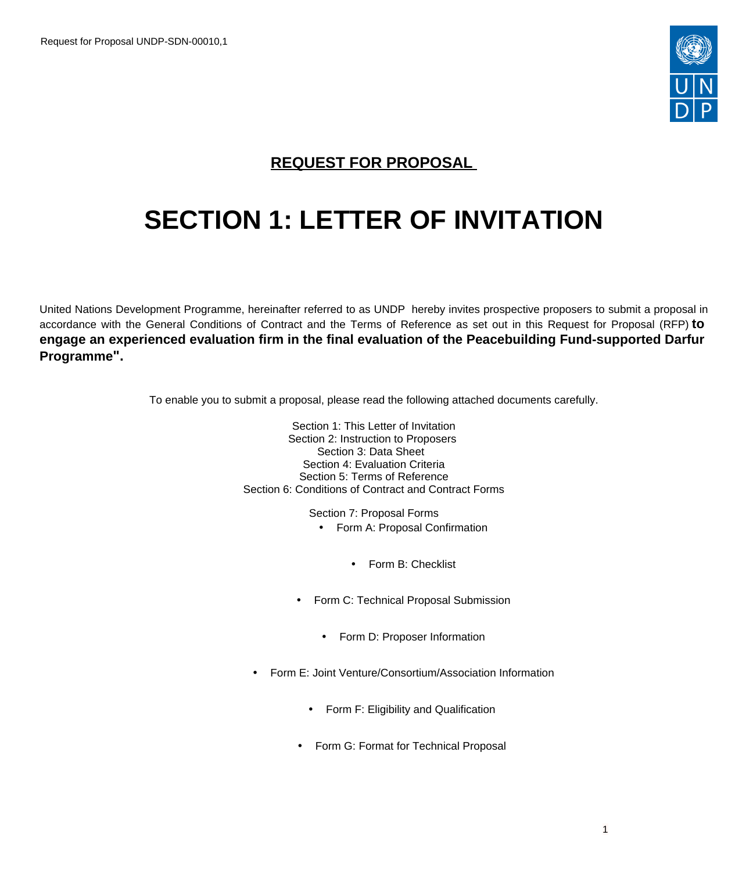

# **REQUEST FOR PROPOSAL**

# **SECTION 1: LETTER OF INVITATION**

United Nations Development Programme, hereinafter referred to as UNDP hereby invites prospective proposers to submit a proposal in accordance with the General Conditions of Contract and the Terms of Reference as set out in this Request for Proposal (RFP) **to engage an experienced evaluation firm in the final evaluation of the Peacebuilding Fund-supported Darfur Programme".**

To enable you to submit a proposal, please read the following attached documents carefully.

Section 1: This Letter of Invitation Section 2: Instruction to Proposers Section 3: Data Sheet Section 4: Evaluation Criteria Section 5: Terms of Reference Section 6: Conditions of Contract and Contract Forms

Section 7: Proposal Forms

- Form A: Proposal Confirmation
	- Form B: Checklist
- Form C: Technical Proposal Submission
	- Form D: Proposer Information
- Form E: Joint Venture/Consortium/Association Information
	- Form F: Eligibility and Qualification
	- Form G: Format for Technical Proposal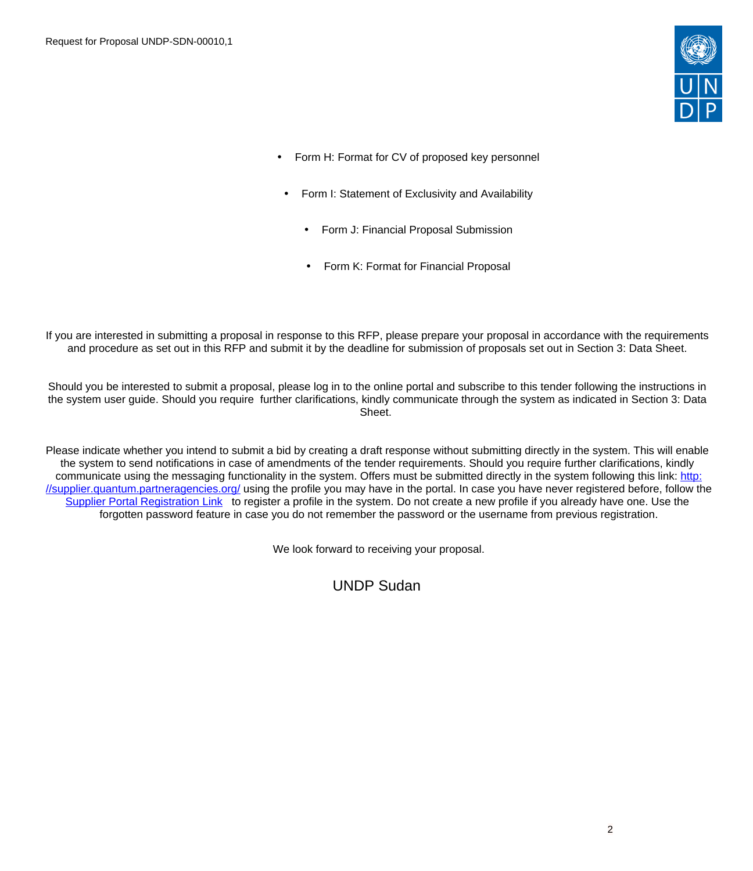

- Form H: Format for CV of proposed key personnel
- Form I: Statement of Exclusivity and Availability
	- Form J: Financial Proposal Submission
	- Form K: Format for Financial Proposal

If you are interested in submitting a proposal in response to this RFP, please prepare your proposal in accordance with the requirements and procedure as set out in this RFP and submit it by the deadline for submission of proposals set out in Section 3: Data Sheet.

Should you be interested to submit a proposal, please log in to the online portal and subscribe to this tender following the instructions in the system user guide. Should you require further clarifications, kindly communicate through the system as indicated in Section 3: Data Sheet.

Please indicate whether you intend to submit a bid by creating a draft response without submitting directly in the system. This will enable the system to send notifications in case of amendments of the tender requirements. Should you require further clarifications, kindly communicate using the messaging functionality in the system. Offers must be submitted directly in the system following this link: [http:](http://supplier.quantum.partneragencies.org/) [//supplier.quantum.partneragencies.org/](http://supplier.quantum.partneragencies.org/) using the profile you may have in the portal. In case you have never registered before, follow the [Supplier Portal Registration Link](https://estm.fa.em2.oraclecloud.com/fscmUI/faces/PrcPosRegisterSupplier?prcBuId=300000127715297&_adf.ctrl-state=azywmctp_1&_afrLoop=6329722925931702&_afrWindowMode=0&_afrWindowId=null&_afrFS=16&_afrMT=screen&_afrMFW=1042&_afrMFH=575&_afrMFDW=1280&_afrMFDH=720&_afrMFC=8&_afrMFCI=0&_afrMFM=0&_afrMFR=144&_afrMFG=0&_afrMFS=0&_afrMFO=0) to register a profile in the system. Do not create a new profile if you already have one. Use the forgotten password feature in case you do not remember the password or the username from previous registration.

We look forward to receiving your proposal.

UNDP Sudan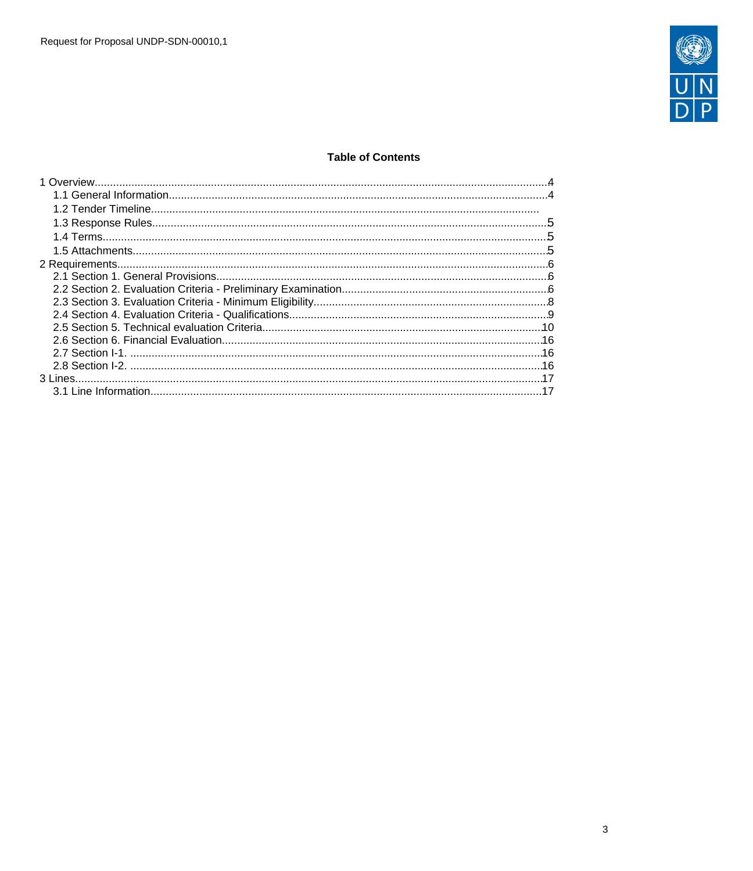

## **Table of Contents**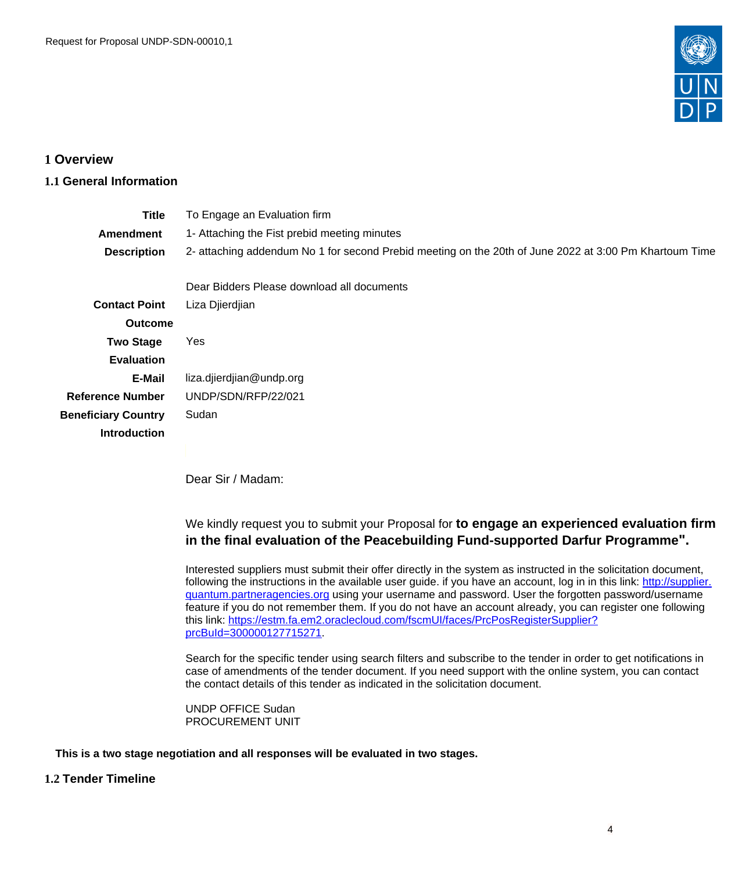

# <span id="page-3-0"></span>**1 Overview**

# <span id="page-3-1"></span>**1.1 General Information**

| <b>Title</b>               | To Engage an Evaluation firm                                                                           |
|----------------------------|--------------------------------------------------------------------------------------------------------|
| <b>Amendment</b>           | 1- Attaching the Fist prebid meeting minutes                                                           |
| <b>Description</b>         | 2- attaching addendum No 1 for second Prebid meeting on the 20th of June 2022 at 3:00 Pm Khartoum Time |
|                            | Dear Bidders Please download all documents                                                             |
| <b>Contact Point</b>       | Liza Djierdjian                                                                                        |
| <b>Outcome</b>             |                                                                                                        |
| <b>Two Stage</b>           | Yes                                                                                                    |
| <b>Evaluation</b>          |                                                                                                        |
| E-Mail                     | liza.djierdjian@undp.org                                                                               |
| <b>Reference Number</b>    | UNDP/SDN/RFP/22/021                                                                                    |
| <b>Beneficiary Country</b> | Sudan                                                                                                  |
| <b>Introduction</b>        |                                                                                                        |
|                            |                                                                                                        |

Dear Sir / Madam:

We kindly request you to submit your Proposal for **to engage an experienced evaluation firm in the final evaluation of the Peacebuilding Fund-supported Darfur Programme".**

Interested suppliers must submit their offer directly in the system as instructed in the solicitation document, following the instructions in the available user guide. if you have an account, log in in this link: [http://supplier.](http://supplier.quantum.partneragencies.org) [quantum.partneragencies.org](http://supplier.quantum.partneragencies.org) using your username and password. User the forgotten password/username feature if you do not remember them. If you do not have an account already, you can register one following this link: [https://estm.fa.em2.oraclecloud.com/fscmUI/faces/PrcPosRegisterSupplier?](https://estm.fa.em2.oraclecloud.com/fscmUI/faces/PrcPosRegisterSupplier?prcBuId=300000127715271) [prcBuId=300000127715271](https://estm.fa.em2.oraclecloud.com/fscmUI/faces/PrcPosRegisterSupplier?prcBuId=300000127715271).

Search for the specific tender using search filters and subscribe to the tender in order to get notifications in case of amendments of the tender document. If you need support with the online system, you can contact the contact details of this tender as indicated in the solicitation document.

UNDP OFFICE Sudan PROCUREMENT UNIT

**This is a two stage negotiation and all responses will be evaluated in two stages.**

## **1.2 Tender Timeline**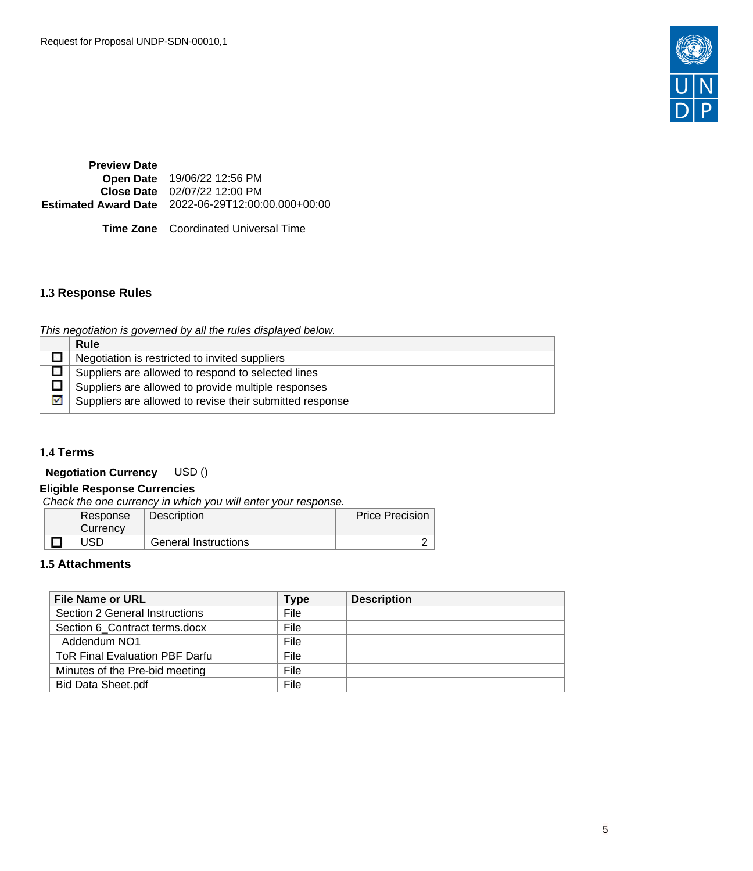

**Preview Date Open Date** 19/06/22 12:56 PM **Close Date** 02/07/22 12:00 PM **Estimated Award Date** 2022-06-29T12:00:00.000+00:00

**Time Zone** Coordinated Universal Time

# <span id="page-4-0"></span>**1.3 Response Rules**

This negotiation is governed by all the rules displayed below.

|   | Rule                                                     |
|---|----------------------------------------------------------|
|   | Negotiation is restricted to invited suppliers           |
|   | Suppliers are allowed to respond to selected lines       |
|   | Suppliers are allowed to provide multiple responses      |
| 罓 | Suppliers are allowed to revise their submitted response |

## <span id="page-4-1"></span>**1.4 Terms**

**Negotiation Currency** USD ()

## **Eligible Response Currencies**

Check the one currency in which you will enter your response.

| Response<br>Currency | Description                 | Price Precision |
|----------------------|-----------------------------|-----------------|
| USD                  | <b>General Instructions</b> |                 |

## <span id="page-4-2"></span>**1.5 Attachments**

| <b>File Name or URL</b>               | Type | <b>Description</b> |
|---------------------------------------|------|--------------------|
| Section 2 General Instructions        | File |                    |
| Section 6 Contract terms.docx         | File |                    |
| Addendum NO1                          | File |                    |
| <b>ToR Final Evaluation PBF Darfu</b> | File |                    |
| Minutes of the Pre-bid meeting        | File |                    |
| <b>Bid Data Sheet.pdf</b>             | File |                    |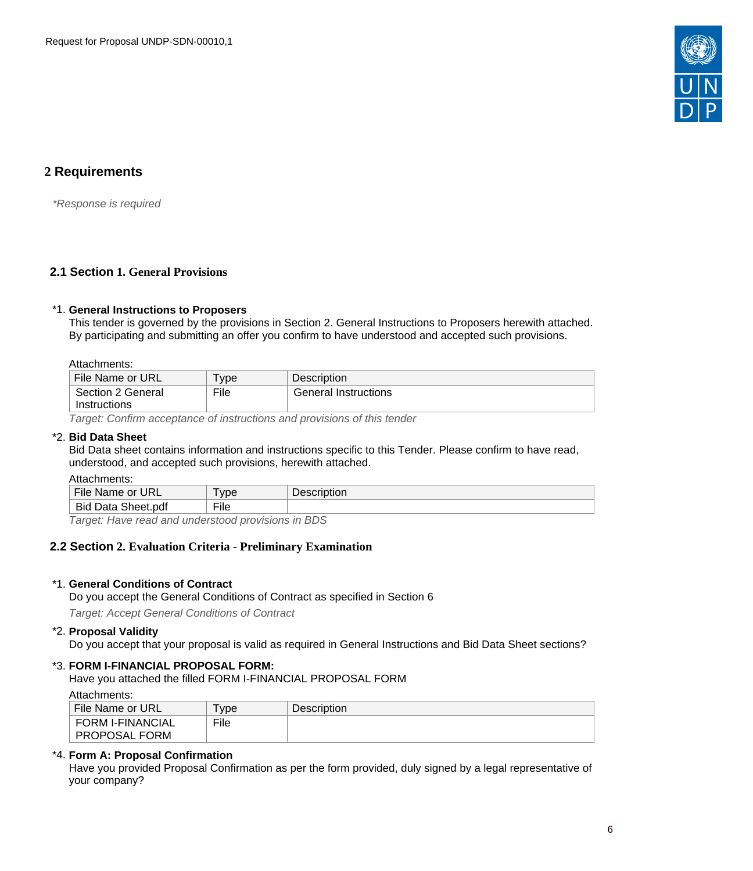

# <span id="page-5-0"></span>**2 Requirements**

\*Response is required

## <span id="page-5-1"></span>**2.1 Section 1. General Provisions**

#### \*1. **General Instructions to Proposers**

This tender is governed by the provisions in Section 2. General Instructions to Proposers herewith attached. By participating and submitting an offer you confirm to have understood and accepted such provisions.

## Attachments:

| File Name or URL  | <b>vpe</b> | Description          |
|-------------------|------------|----------------------|
| Section 2 General | File       | General Instructions |
| Instructions      |            |                      |

Target: Confirm acceptance of instructions and provisions of this tender

## \*2. **Bid Data Sheet**

Bid Data sheet contains information and instructions specific to this Tender. Please confirm to have read, understood, and accepted such provisions, herewith attached.

Attachments:

| File Name or<br><b>URL</b>                | vpe          | Description |
|-------------------------------------------|--------------|-------------|
| $\sim$<br><b>Bid</b><br>Data<br>Sheet.pdf | $-1$<br>∙ıle |             |

Target: Have read and understood provisions in BDS

## <span id="page-5-2"></span>**2.2 Section 2. Evaluation Criteria - Preliminary Examination**

## \*1. **General Conditions of Contract**

Do you accept the General Conditions of Contract as specified in Section 6

Target: Accept General Conditions of Contract

#### \*2. **Proposal Validity**

Do you accept that your proposal is valid as required in General Instructions and Bid Data Sheet sections?

## \*3. **FORM I-FINANCIAL PROPOSAL FORM:**

Have you attached the filled FORM I-FINANCIAL PROPOSAL FORM

#### Attachments:

| File Name or URL        | <b>vpe</b> | <b>Description</b> |
|-------------------------|------------|--------------------|
| <b>FORM I-FINANCIAL</b> | File       |                    |
| <b>PROPOSAL FORM</b>    |            |                    |

## \*4. **Form A: Proposal Confirmation**

Have you provided Proposal Confirmation as per the form provided, duly signed by a legal representative of your company?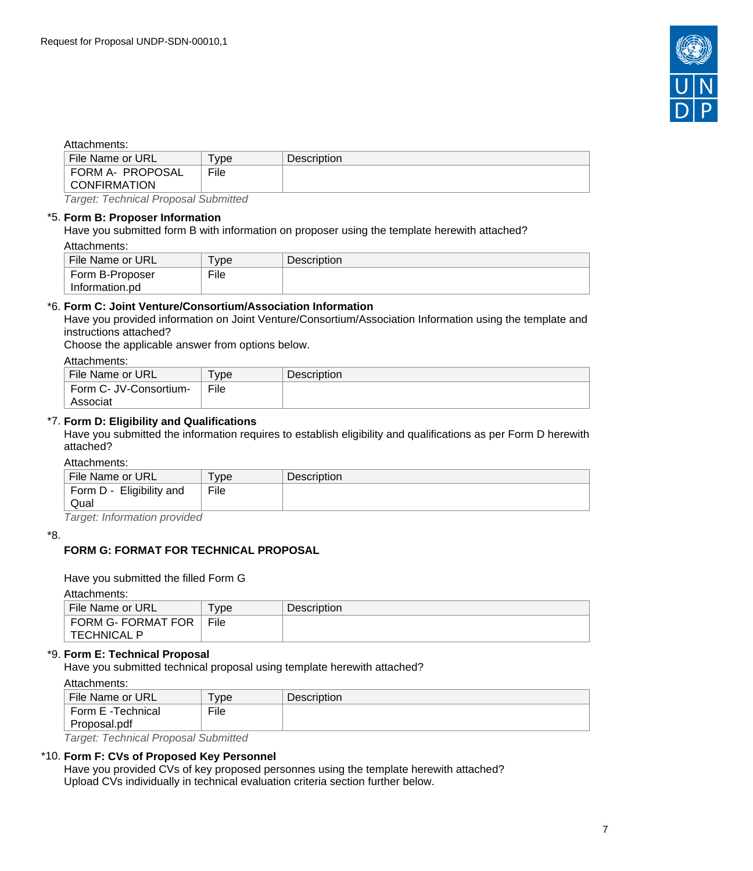

## Attachments:

| File Name or URL                   | vpe  | <b>Description</b> |
|------------------------------------|------|--------------------|
| FORM A- PROPOSAL<br>CONFIRMATION   | File |                    |
|                                    |      |                    |
| T. T. . I. . I. D. I. O. I. III. I |      |                    |

Target: Technical Proposal Submitted

#### \*5. **Form B: Proposer Information**

Have you submitted form B with information on proposer using the template herewith attached? Attachments:

| File Name or URL | $\tau_{\text{VDE}}$ | Description |
|------------------|---------------------|-------------|
| Form B-Proposer  | File                |             |
| Information.pd   |                     |             |

## \*6. **Form C: Joint Venture/Consortium/Association Information**

Have you provided information on Joint Venture/Consortium/Association Information using the template and instructions attached?

Choose the applicable answer from options below.

#### Attachments:

| File Name or URL       | <b>vpe</b> | <b>Description</b> |
|------------------------|------------|--------------------|
| Form C- JV-Consortium- | File       |                    |
| Associat               |            |                    |

## \*7. **Form D: Eligibility and Qualifications**

Have you submitted the information requires to establish eligibility and qualifications as per Form D herewith attached?

#### Attachments:

| , ,,,,,,,,,,,,,,,,,,,    |      |                    |
|--------------------------|------|--------------------|
| File Name or URL         | vpe  | <b>Description</b> |
| Form D - Eligibility and | File |                    |
| Qual                     |      |                    |
|                          |      |                    |

Target: Information provided

#### \*8.

## **FORM G: FORMAT FOR TECHNICAL PROPOSAL**

#### Have you submitted the filled Form G

#### Attachments:

| File Name or URL   | <b>vpe</b> | <b>Description</b> |
|--------------------|------------|--------------------|
| FORM G- FORMAT FOR | File       |                    |
| ∣ TECHNICAL P      |            |                    |

## \*9. **Form E: Technical Proposal**

Have you submitted technical proposal using template herewith attached?

#### Attachments:

| .                 |            |                    |
|-------------------|------------|--------------------|
| File Name or URL  | <b>vpe</b> | <b>Description</b> |
| Form E -Technical | File       |                    |
| Proposal.pdf      |            |                    |
| ____              | .          |                    |

Target: Technical Proposal Submitted

## \*10. **Form F: CVs of Proposed Key Personnel**

Have you provided CVs of key proposed personnes using the template herewith attached? Upload CVs individually in technical evaluation criteria section further below.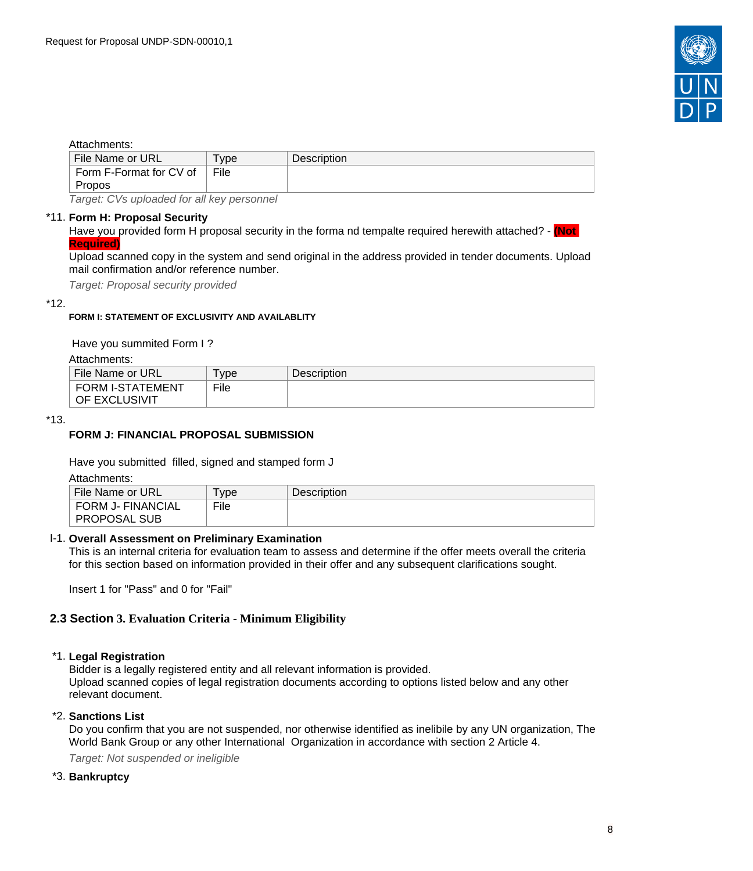

#### Attachments:

| File Name or URL                                      | <b>vpe</b> | <b>Description</b> |
|-------------------------------------------------------|------------|--------------------|
| Form F-Format for CV of                               | File       |                    |
| Propos                                                |            |                    |
| $\tau$ ennet: Olte index ded fen ell lieu en energiel |            |                    |

Target: CVs uploaded for all key personnel

#### \*11. **Form H: Proposal Security**

Have you provided form H proposal security in the forma nd tempalte required herewith attached? - **(Not Required)**

Upload scanned copy in the system and send original in the address provided in tender documents. Upload mail confirmation and/or reference number.

Target: Proposal security provided

#### \*12.

#### **FORM I: STATEMENT OF EXCLUSIVITY AND AVAILABLITY**

Have you summited Form I ?

Attachments:

| File Name or URL | vpe  | <b>Description</b> |
|------------------|------|--------------------|
| FORM I-STATEMENT | File |                    |
| ∣ OF EXCLUSIVIT  |      |                    |

#### \*13.

## **FORM J: FINANCIAL PROPOSAL SUBMISSION**

Have you submitted filled, signed and stamped form J

Attachments:

| .                        |            |                    |
|--------------------------|------------|--------------------|
| File Name or URL         | <b>vpe</b> | <b>Description</b> |
| <b>FORM J- FINANCIAL</b> | File       |                    |
| <b>PROPOSAL SUB</b>      |            |                    |

#### I-1. **Overall Assessment on Preliminary Examination**

This is an internal criteria for evaluation team to assess and determine if the offer meets overall the criteria for this section based on information provided in their offer and any subsequent clarifications sought.

Insert 1 for "Pass" and 0 for "Fail"

#### <span id="page-7-0"></span>**2.3 Section 3. Evaluation Criteria - Minimum Eligibility**

#### \*1. **Legal Registration**

Bidder is a legally registered entity and all relevant information is provided. Upload scanned copies of legal registration documents according to options listed below and any other relevant document.

#### \*2. **Sanctions List**

Do you confirm that you are not suspended, nor otherwise identified as inelibile by any UN organization, The World Bank Group or any other International Organization in accordance with section 2 Article 4.

Target: Not suspended or ineligible

#### \*3. **Bankruptcy**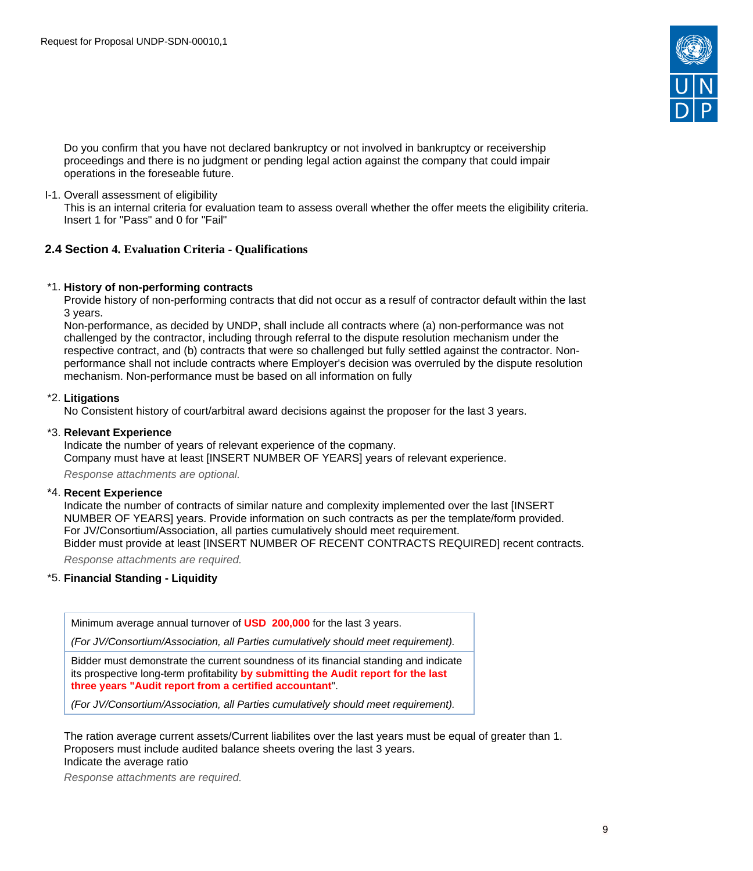

Do you confirm that you have not declared bankruptcy or not involved in bankruptcy or receivership proceedings and there is no judgment or pending legal action against the company that could impair operations in the foreseable future.

I-1. Overall assessment of eligibility

This is an internal criteria for evaluation team to assess overall whether the offer meets the eligibility criteria. Insert 1 for "Pass" and 0 for "Fail"

## <span id="page-8-0"></span>**2.4 Section 4. Evaluation Criteria - Qualifications**

#### \*1. **History of non-performing contracts**

Provide history of non-performing contracts that did not occur as a resulf of contractor default within the last 3 years.

Non-performance, as decided by UNDP, shall include all contracts where (a) non-performance was not challenged by the contractor, including through referral to the dispute resolution mechanism under the respective contract, and (b) contracts that were so challenged but fully settled against the contractor. Nonperformance shall not include contracts where Employer's decision was overruled by the dispute resolution mechanism. Non-performance must be based on all information on fully

#### \*2. **Litigations**

No Consistent history of court/arbitral award decisions against the proposer for the last 3 years.

#### \*3. **Relevant Experience**

Indicate the number of years of relevant experience of the copmany. Company must have at least [INSERT NUMBER OF YEARS] years of relevant experience.

Response attachments are optional*.*

#### \*4. **Recent Experience**

Indicate the number of contracts of similar nature and complexity implemented over the last [INSERT NUMBER OF YEARS] years. Provide information on such contracts as per the template/form provided. For JV/Consortium/Association, all parties cumulatively should meet requirement.

Bidder must provide at least [INSERT NUMBER OF RECENT CONTRACTS REQUIRED] recent contracts.

Response attachments are required*.*

## \*5. **Financial Standing - Liquidity**

Minimum average annual turnover of **USD 200,000** for the last 3 years.

(For JV/Consortium/Association, all Parties cumulatively should meet requirement).

Bidder must demonstrate the current soundness of its financial standing and indicate its prospective long-term profitability **by submitting the Audit report for the last three years "Audit report from a certified accountant**".

(For JV/Consortium/Association, all Parties cumulatively should meet requirement).

The ration average current assets/Current liabilites over the last years must be equal of greater than 1. Proposers must include audited balance sheets overing the last 3 years. Indicate the average ratio

Response attachments are required*.*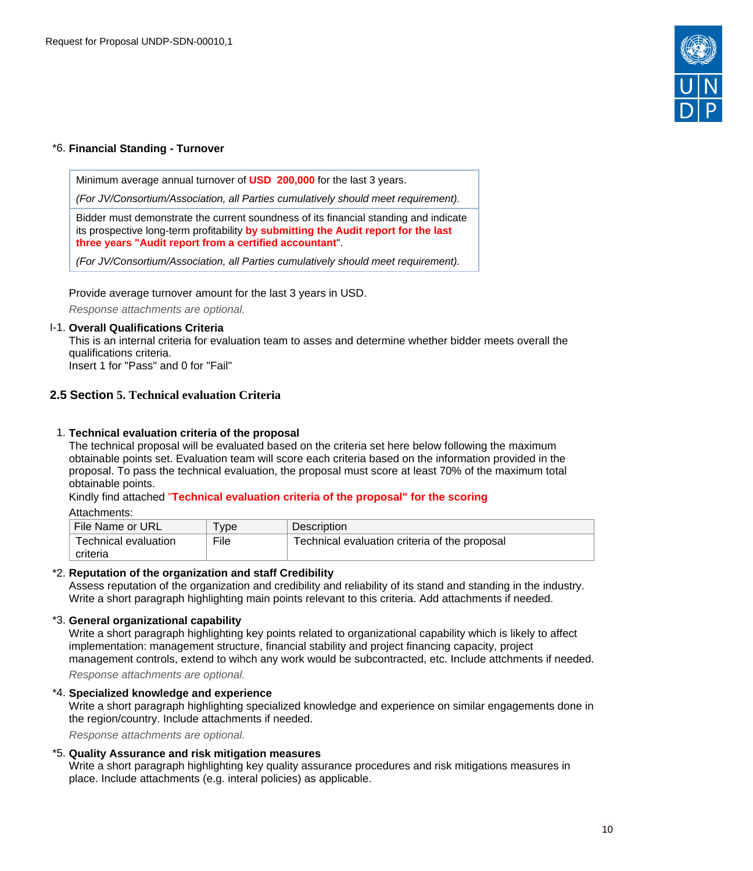

## \*6. **Financial Standing - Turnover**

Minimum average annual turnover of **USD 200,000** for the last 3 years.

(For JV/Consortium/Association, all Parties cumulatively should meet requirement).

Bidder must demonstrate the current soundness of its financial standing and indicate its prospective long-term profitability **by submitting the Audit report for the last three years "Audit report from a certified accountant**".

(For JV/Consortium/Association, all Parties cumulatively should meet requirement).

Provide average turnover amount for the last 3 years in USD.

Response attachments are optional*.*

## I-1. **Overall Qualifications Criteria**

This is an internal criteria for evaluation team to asses and determine whether bidder meets overall the qualifications criteria.

Insert 1 for "Pass" and 0 for "Fail"

## <span id="page-9-0"></span>**2.5 Section 5. Technical evaluation Criteria**

## 1. **Technical evaluation criteria of the proposal**

The technical proposal will be evaluated based on the criteria set here below following the maximum obtainable points set. Evaluation team will score each criteria based on the information provided in the proposal. To pass the technical evaluation, the proposal must score at least 70% of the maximum total obtainable points.

Kindly find attached "**Technical evaluation criteria of the proposal" for the scoring**

#### Attachments:

| File Name or URL     | ' vpe | Description                                   |
|----------------------|-------|-----------------------------------------------|
| Technical evaluation | File  | Technical evaluation criteria of the proposal |
| criteria             |       |                                               |

#### \*2. **Reputation of the organization and staff Credibility**

Assess reputation of the organization and credibility and reliability of its stand and standing in the industry. Write a short paragraph highlighting main points relevant to this criteria. Add attachments if needed.

#### \*3. **General organizational capability**

Write a short paragraph highlighting key points related to organizational capability which is likely to affect implementation: management structure, financial stability and project financing capacity, project management controls, extend to wihch any work would be subcontracted, etc. Include attchments if needed.

Response attachments are optional*.*

#### \*4. **Specialized knowledge and experience**

Write a short paragraph highlighting specialized knowledge and experience on similar engagements done in the region/country. Include attachments if needed.

Response attachments are optional*.*

#### \*5. **Quality Assurance and risk mitigation measures**

Write a short paragraph highlighting key quality assurance procedures and risk mitigations measures in place. Include attachments (e.g. interal policies) as applicable.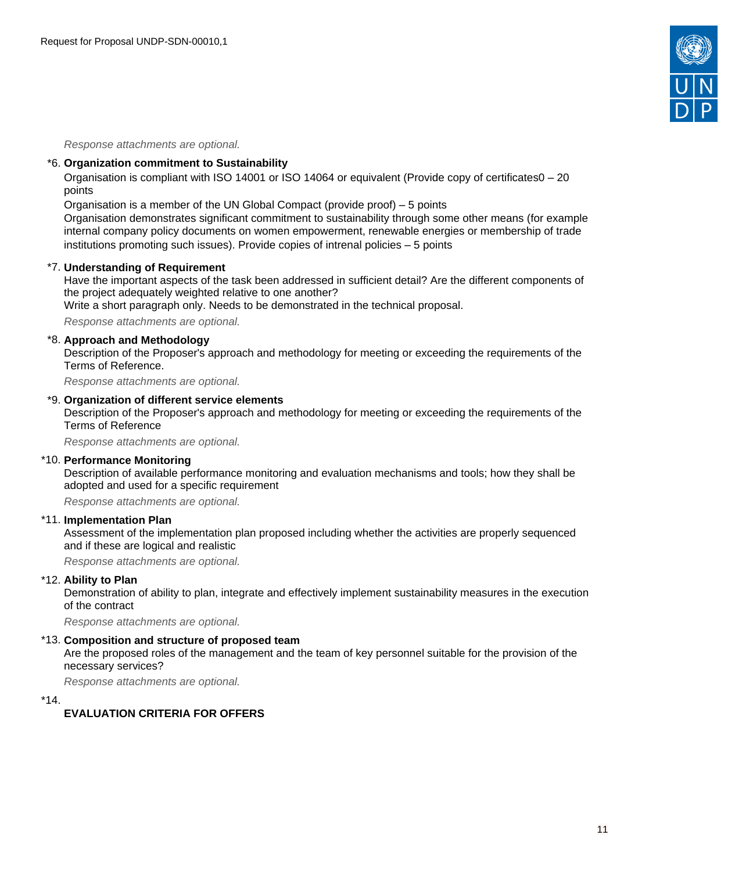

Response attachments are optional*.*

#### \*6. **Organization commitment to Sustainability**

Organisation is compliant with ISO 14001 or ISO 14064 or equivalent (Provide copy of certificates0 – 20 points

Organisation is a member of the UN Global Compact (provide proof) – 5 points

Organisation demonstrates significant commitment to sustainability through some other means (for example internal company policy documents on women empowerment, renewable energies or membership of trade institutions promoting such issues). Provide copies of intrenal policies – 5 points

#### \*7. **Understanding of Requirement**

Have the important aspects of the task been addressed in sufficient detail? Are the different components of the project adequately weighted relative to one another?

Write a short paragraph only. Needs to be demonstrated in the technical proposal.

Response attachments are optional*.*

#### \*8. **Approach and Methodology**

Description of the Proposer's approach and methodology for meeting or exceeding the requirements of the Terms of Reference.

Response attachments are optional*.*

#### \*9. **Organization of different service elements**

Description of the Proposer's approach and methodology for meeting or exceeding the requirements of the Terms of Reference

Response attachments are optional*.*

#### \*10. **Performance Monitoring**

Description of available performance monitoring and evaluation mechanisms and tools; how they shall be adopted and used for a specific requirement

Response attachments are optional*.*

#### \*11. **Implementation Plan**

Assessment of the implementation plan proposed including whether the activities are properly sequenced and if these are logical and realistic

Response attachments are optional*.*

#### \*12. **Ability to Plan**

Demonstration of ability to plan, integrate and effectively implement sustainability measures in the execution of the contract

Response attachments are optional*.*

# \*13. **Composition and structure of proposed team**

Are the proposed roles of the management and the team of key personnel suitable for the provision of the necessary services?

Response attachments are optional*.*

\*14.

#### **EVALUATION CRITERIA FOR OFFERS**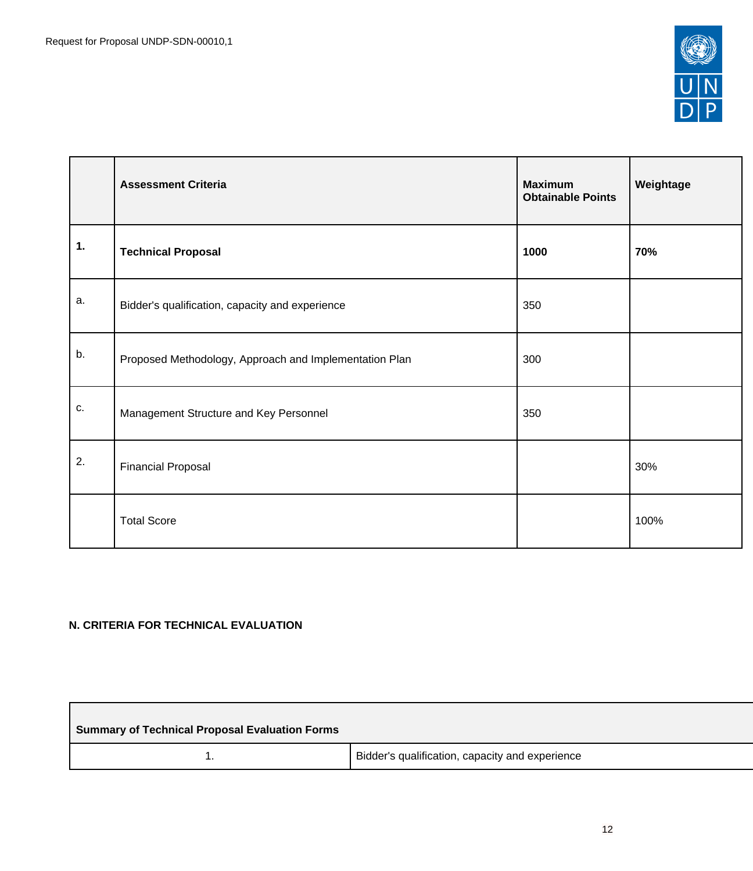

|    | <b>Assessment Criteria</b>                             | <b>Maximum</b><br><b>Obtainable Points</b> | Weightage |
|----|--------------------------------------------------------|--------------------------------------------|-----------|
| 1. | <b>Technical Proposal</b>                              | 1000                                       | 70%       |
| a. | Bidder's qualification, capacity and experience        | 350                                        |           |
| b. | Proposed Methodology, Approach and Implementation Plan | 300                                        |           |
| c. | Management Structure and Key Personnel                 | 350                                        |           |
| 2. | <b>Financial Proposal</b>                              |                                            | 30%       |
|    | <b>Total Score</b>                                     |                                            | 100%      |

# **N. CRITERIA FOR TECHNICAL EVALUATION**

 $\Box$ 

| <b>Summary of Technical Proposal Evaluation Forms</b> |                                                 |
|-------------------------------------------------------|-------------------------------------------------|
|                                                       | Bidder's qualification, capacity and experience |

<u> 1989 - Johann Stein, marwolaethau a bhann an t-Amhair an t-Amhair an t-Amhair an t-Amhair an t-Amhair an t-A</u>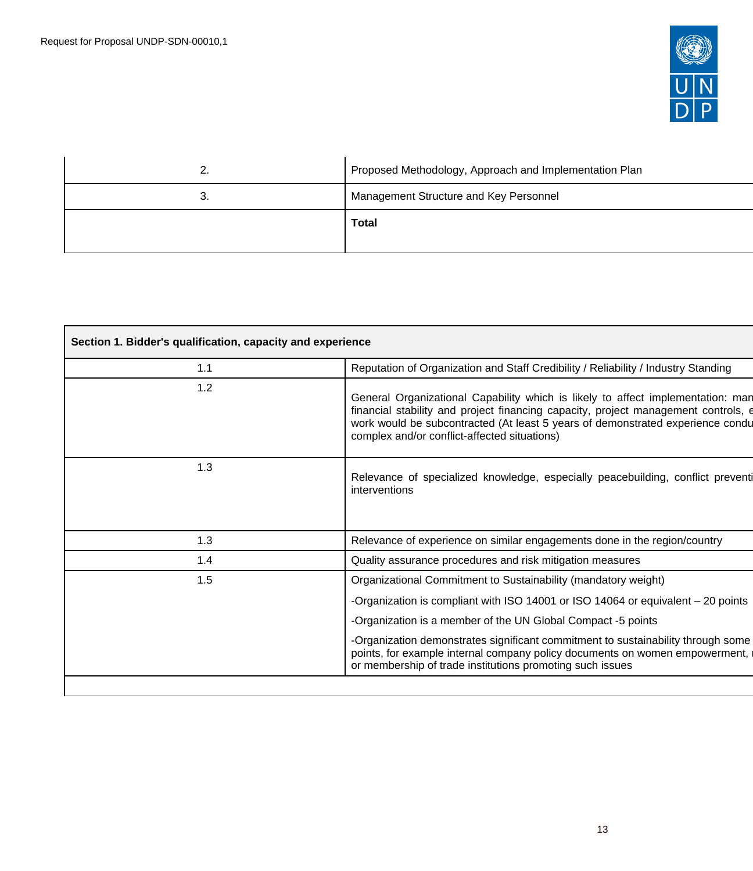

| <u>.</u> . | Proposed Methodology, Approach and Implementation Plan |
|------------|--------------------------------------------------------|
| د.         | Management Structure and Key Personnel                 |
|            | <b>Total</b>                                           |

| Section 1. Bidder's qualification, capacity and experience |                                                                                                                                                                                                                                                                                                         |
|------------------------------------------------------------|---------------------------------------------------------------------------------------------------------------------------------------------------------------------------------------------------------------------------------------------------------------------------------------------------------|
| 1.1                                                        | Reputation of Organization and Staff Credibility / Reliability / Industry Standing                                                                                                                                                                                                                      |
| 1.2                                                        | General Organizational Capability which is likely to affect implementation: man<br>financial stability and project financing capacity, project management controls, e<br>work would be subcontracted (At least 5 years of demonstrated experience condu<br>complex and/or conflict-affected situations) |
| 1.3                                                        | Relevance of specialized knowledge, especially peacebuilding, conflict preventi<br>interventions                                                                                                                                                                                                        |
| 1.3                                                        | Relevance of experience on similar engagements done in the region/country                                                                                                                                                                                                                               |
| 1.4                                                        | Quality assurance procedures and risk mitigation measures                                                                                                                                                                                                                                               |
| 1.5                                                        | Organizational Commitment to Sustainability (mandatory weight)                                                                                                                                                                                                                                          |
|                                                            | -Organization is compliant with ISO 14001 or ISO 14064 or equivalent - 20 points                                                                                                                                                                                                                        |
|                                                            | -Organization is a member of the UN Global Compact -5 points                                                                                                                                                                                                                                            |
|                                                            | -Organization demonstrates significant commitment to sustainability through some<br>points, for example internal company policy documents on women empowerment,<br>or membership of trade institutions promoting such issues                                                                            |
|                                                            |                                                                                                                                                                                                                                                                                                         |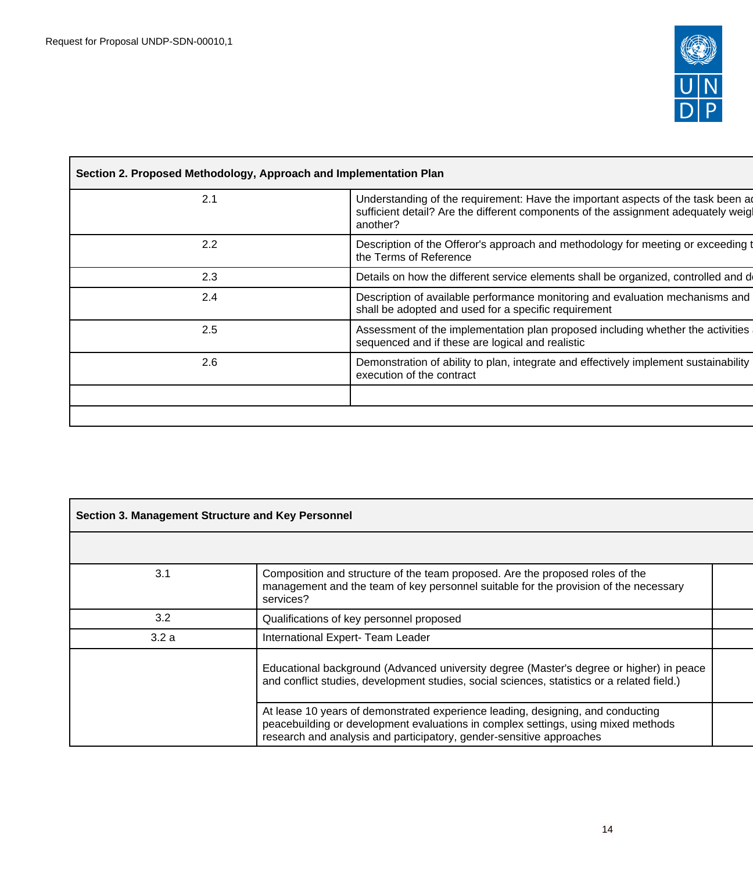$\mathbf{r}$ 



| 2.1 | Understanding of the requirement: Have the important aspects of the task been a<br>sufficient detail? Are the different components of the assignment adequately weig<br>another? |
|-----|----------------------------------------------------------------------------------------------------------------------------------------------------------------------------------|
| 2.2 | Description of the Offeror's approach and methodology for meeting or exceeding to<br>the Terms of Reference                                                                      |
| 2.3 | Details on how the different service elements shall be organized, controlled and d                                                                                               |
| 2.4 | Description of available performance monitoring and evaluation mechanisms and<br>shall be adopted and used for a specific requirement                                            |
| 2.5 | Assessment of the implementation plan proposed including whether the activities<br>sequenced and if these are logical and realistic                                              |
| 2.6 | Demonstration of ability to plan, integrate and effectively implement sustainability<br>execution of the contract                                                                |
|     |                                                                                                                                                                                  |

| Section 3. Management Structure and Key Personnel |                                                                                                                                                                                                                                              |  |
|---------------------------------------------------|----------------------------------------------------------------------------------------------------------------------------------------------------------------------------------------------------------------------------------------------|--|
|                                                   |                                                                                                                                                                                                                                              |  |
| 3.1                                               | Composition and structure of the team proposed. Are the proposed roles of the<br>management and the team of key personnel suitable for the provision of the necessary<br>services?                                                           |  |
| 3.2                                               | Qualifications of key personnel proposed                                                                                                                                                                                                     |  |
| 3.2a                                              | International Expert- Team Leader                                                                                                                                                                                                            |  |
|                                                   | Educational background (Advanced university degree (Master's degree or higher) in peace<br>and conflict studies, development studies, social sciences, statistics or a related field.)                                                       |  |
|                                                   | At lease 10 years of demonstrated experience leading, designing, and conducting<br>peacebuilding or development evaluations in complex settings, using mixed methods<br>research and analysis and participatory, gender-sensitive approaches |  |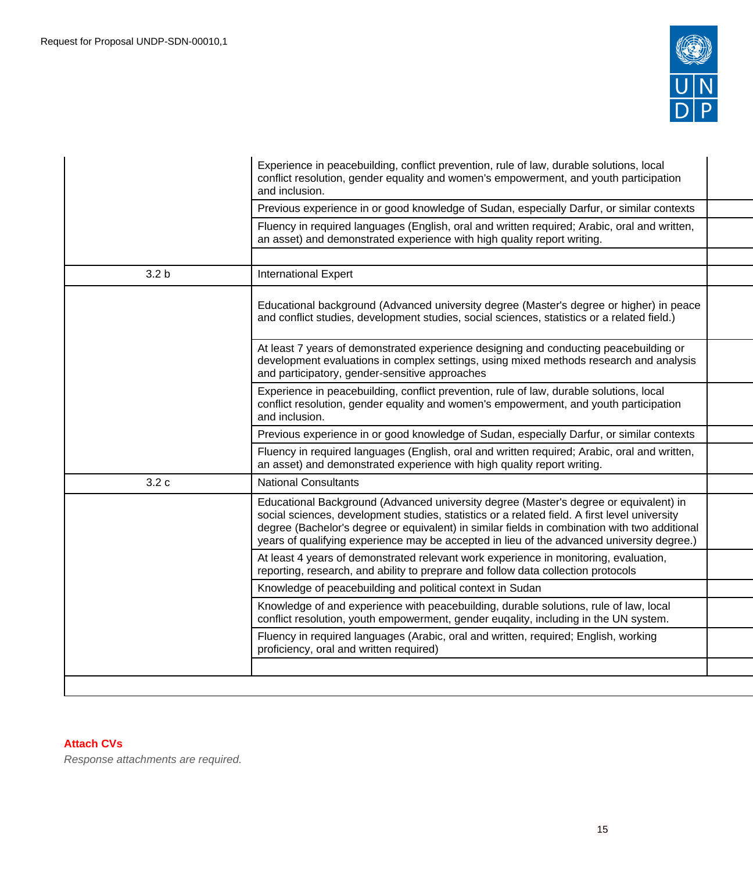

|                  | Experience in peacebuilding, conflict prevention, rule of law, durable solutions, local<br>conflict resolution, gender equality and women's empowerment, and youth participation<br>and inclusion.                                                                                                                                                                                    |  |
|------------------|---------------------------------------------------------------------------------------------------------------------------------------------------------------------------------------------------------------------------------------------------------------------------------------------------------------------------------------------------------------------------------------|--|
|                  | Previous experience in or good knowledge of Sudan, especially Darfur, or similar contexts                                                                                                                                                                                                                                                                                             |  |
|                  | Fluency in required languages (English, oral and written required; Arabic, oral and written,<br>an asset) and demonstrated experience with high quality report writing.                                                                                                                                                                                                               |  |
|                  |                                                                                                                                                                                                                                                                                                                                                                                       |  |
| 3.2 <sub>b</sub> | <b>International Expert</b>                                                                                                                                                                                                                                                                                                                                                           |  |
|                  | Educational background (Advanced university degree (Master's degree or higher) in peace<br>and conflict studies, development studies, social sciences, statistics or a related field.)                                                                                                                                                                                                |  |
|                  | At least 7 years of demonstrated experience designing and conducting peacebuilding or<br>development evaluations in complex settings, using mixed methods research and analysis<br>and participatory, gender-sensitive approaches                                                                                                                                                     |  |
|                  | Experience in peacebuilding, conflict prevention, rule of law, durable solutions, local<br>conflict resolution, gender equality and women's empowerment, and youth participation<br>and inclusion.                                                                                                                                                                                    |  |
|                  | Previous experience in or good knowledge of Sudan, especially Darfur, or similar contexts                                                                                                                                                                                                                                                                                             |  |
|                  | Fluency in required languages (English, oral and written required; Arabic, oral and written,<br>an asset) and demonstrated experience with high quality report writing.                                                                                                                                                                                                               |  |
| 3.2c             | <b>National Consultants</b>                                                                                                                                                                                                                                                                                                                                                           |  |
|                  | Educational Background (Advanced university degree (Master's degree or equivalent) in<br>social sciences, development studies, statistics or a related field. A first level university<br>degree (Bachelor's degree or equivalent) in similar fields in combination with two additional<br>years of qualifying experience may be accepted in lieu of the advanced university degree.) |  |
|                  | At least 4 years of demonstrated relevant work experience in monitoring, evaluation,<br>reporting, research, and ability to preprare and follow data collection protocols                                                                                                                                                                                                             |  |
|                  | Knowledge of peacebuilding and political context in Sudan                                                                                                                                                                                                                                                                                                                             |  |
|                  | Knowledge of and experience with peacebuilding, durable solutions, rule of law, local<br>conflict resolution, youth empowerment, gender euqality, including in the UN system.                                                                                                                                                                                                         |  |
|                  | Fluency in required languages (Arabic, oral and written, required; English, working<br>proficiency, oral and written required)                                                                                                                                                                                                                                                        |  |
|                  |                                                                                                                                                                                                                                                                                                                                                                                       |  |
|                  |                                                                                                                                                                                                                                                                                                                                                                                       |  |

# **Attach CVs**

Response attachments are required*.*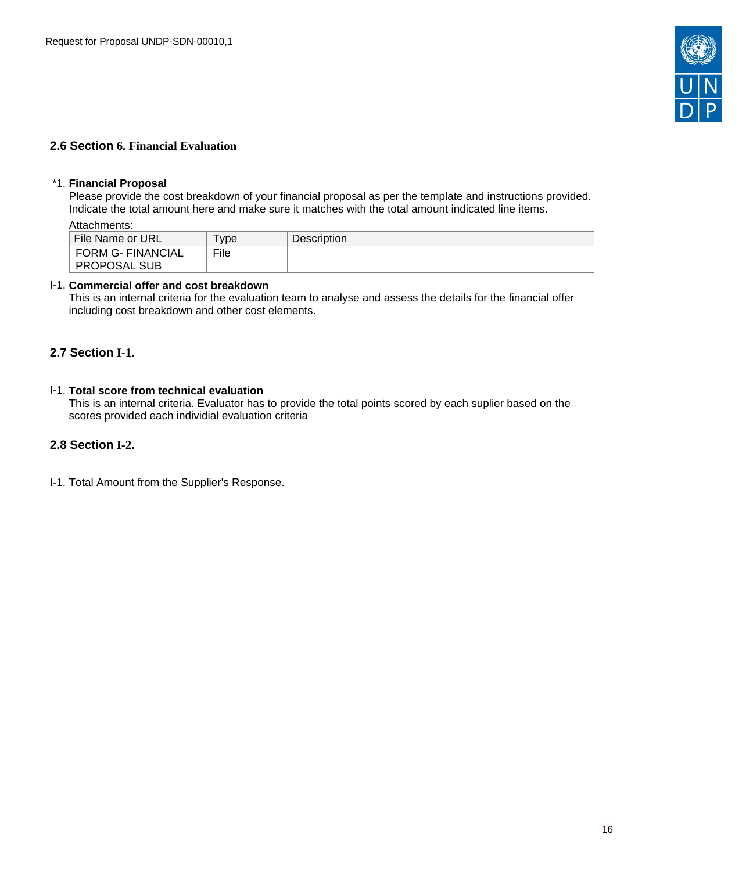

## <span id="page-15-0"></span>**2.6 Section 6. Financial Evaluation**

#### \*1. **Financial Proposal**

Please provide the cost breakdown of your financial proposal as per the template and instructions provided. Indicate the total amount here and make sure it matches with the total amount indicated line items.

Attachments:

| File Name or URL  | vpe  | Description |
|-------------------|------|-------------|
| FORM G- FINANCIAL | File |             |
| ∣ PROPOSAL SUB    |      |             |

## I-1. **Commercial offer and cost breakdown**

This is an internal criteria for the evaluation team to analyse and assess the details for the financial offer including cost breakdown and other cost elements.

## <span id="page-15-1"></span>**2.7 Section I-1.**

## I-1. **Total score from technical evaluation**

This is an internal criteria. Evaluator has to provide the total points scored by each suplier based on the scores provided each individial evaluation criteria

## <span id="page-15-2"></span>**2.8 Section I-2.**

I-1. Total Amount from the Supplier's Response.